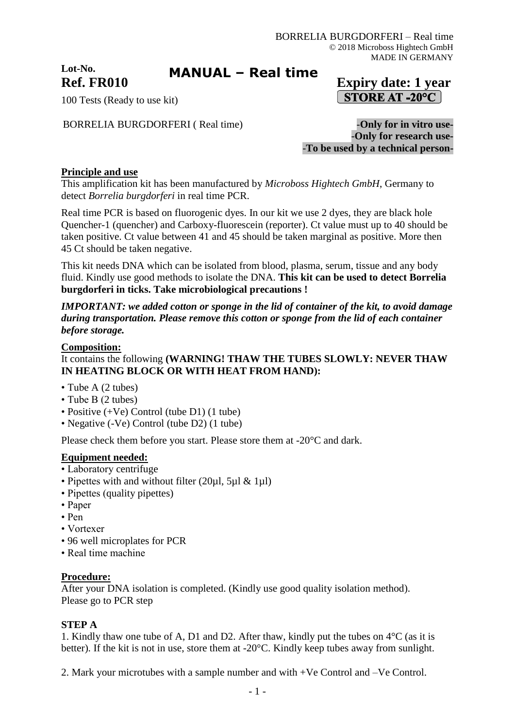**Lot-No.**

**MANUAL – Real time**

# **Ref. FR010 Expiry date: 1 year STORE AT -20°C**

100 Tests (Ready to use kit)

BORRELIA BURGDORFERI (Real time) **-Only for in vitro use-**

-**Only for research use-** -**To be used by a technical person-**

# **Principle and use**

This amplification kit has been manufactured by *Microboss Hightech GmbH*, Germany to detect *Borrelia burgdorferi* in real time PCR.

Real time PCR is based on fluorogenic dyes. In our kit we use 2 dyes, they are black hole Quencher-1 (quencher) and Carboxy-fluorescein (reporter). Ct value must up to 40 should be taken positive. Ct value between 41 and 45 should be taken marginal as positive. More then 45 Ct should be taken negative.

This kit needs DNA which can be isolated from blood, plasma, serum, tissue and any body fluid. Kindly use good methods to isolate the DNA. **This kit can be used to detect Borrelia burgdorferi in ticks. Take microbiological precautions !**

*IMPORTANT: we added cotton or sponge in the lid of container of the kit, to avoid damage during transportation. Please remove this cotton or sponge from the lid of each container before storage.*

#### **Composition:**

# It contains the following **(WARNING! THAW THE TUBES SLOWLY: NEVER THAW IN HEATING BLOCK OR WITH HEAT FROM HAND):**

- Tube A (2 tubes)
- Tube B (2 tubes)
- Positive (+Ve) Control (tube D1) (1 tube)
- Negative (-Ve) Control (tube D2) (1 tube)

Please check them before you start. Please store them at -20°C and dark.

#### **Equipment needed:**

- Laboratory centrifuge
- Pipettes with and without filter  $(20\mu l, 5\mu l \& 1\mu l)$
- Pipettes (quality pipettes)
- Paper
- Pen
- Vortexer
- 96 well microplates for PCR
- Real time machine

#### **Procedure:**

After your DNA isolation is completed. (Kindly use good quality isolation method). Please go to PCR step

#### **STEP A**

1. Kindly thaw one tube of A, D1 and D2. After thaw, kindly put the tubes on 4°C (as it is better). If the kit is not in use, store them at -20°C. Kindly keep tubes away from sunlight.

2. Mark your microtubes with a sample number and with +Ve Control and –Ve Control.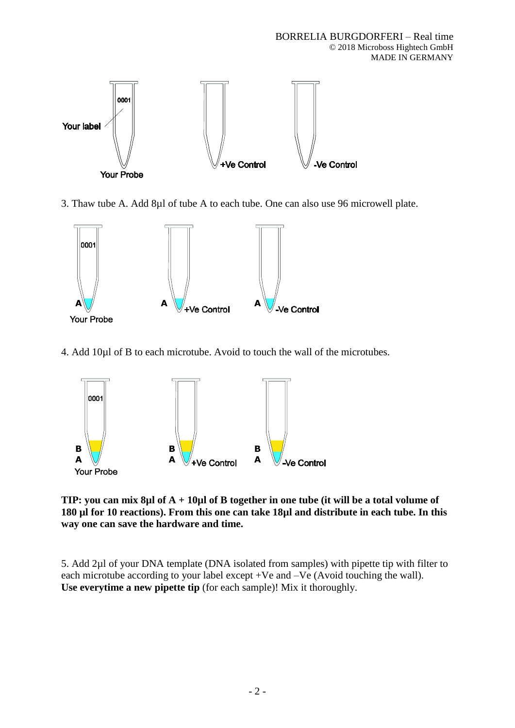

3. Thaw tube A. Add 8µl of tube A to each tube. One can also use 96 microwell plate.



4. Add 10µl of B to each microtube. Avoid to touch the wall of the microtubes.



**TIP: you can mix 8µl of A + 10µl of B together in one tube (it will be a total volume of 180 µl for 10 reactions). From this one can take 18µl and distribute in each tube. In this way one can save the hardware and time.**

5. Add 2µl of your DNA template (DNA isolated from samples) with pipette tip with filter to each microtube according to your label except +Ve and –Ve (Avoid touching the wall). **Use everytime a new pipette tip** (for each sample)! Mix it thoroughly.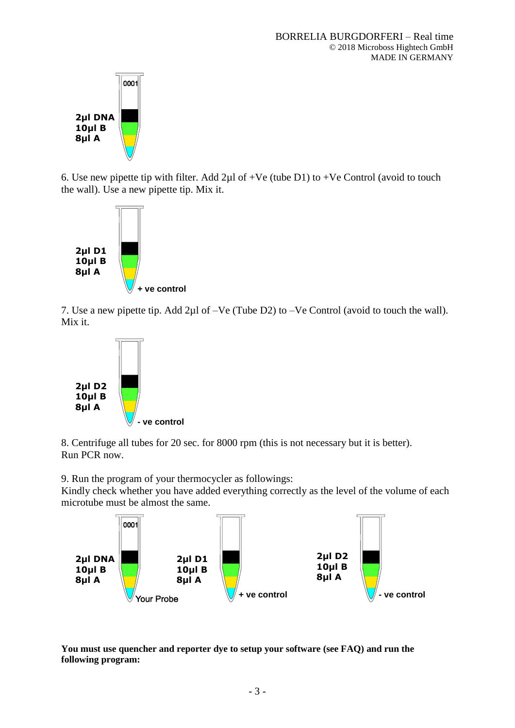

6. Use new pipette tip with filter. Add  $2\mu$ l of +Ve (tube D1) to +Ve Control (avoid to touch the wall). Use a new pipette tip. Mix it.



7. Use a new pipette tip. Add 2µl of –Ve (Tube D2) to –Ve Control (avoid to touch the wall). Mix it.



8. Centrifuge all tubes for 20 sec. for 8000 rpm (this is not necessary but it is better). Run PCR now.

9. Run the program of your thermocycler as followings:

Kindly check whether you have added everything correctly as the level of the volume of each microtube must be almost the same.



**You must use quencher and reporter dye to setup your software (see FAQ) and run the following program:**